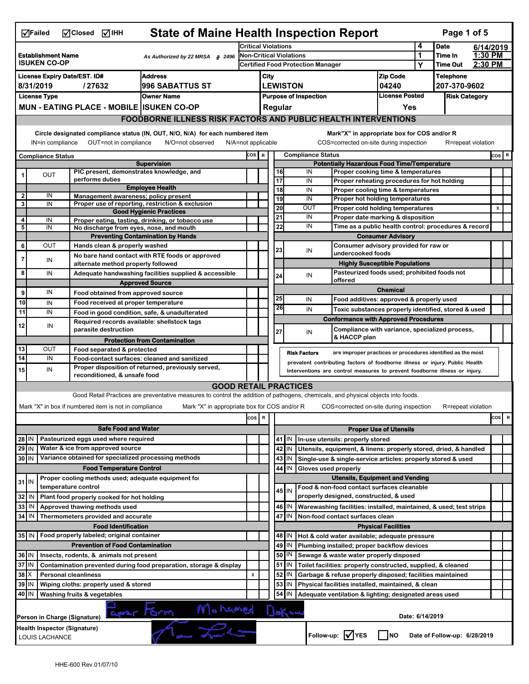|                         | <b>State of Maine Health Inspection Report</b><br>Mclosed MIHH<br>Page 1 of 5<br>$\sqrt{ }$ Failed                                                   |  |                                                                            |                                                                                                                                   |                                                                            |                              |                                                                                                                           |                                                    |                          |                                                           |                                                                                      |                            |                      |  |          |
|-------------------------|------------------------------------------------------------------------------------------------------------------------------------------------------|--|----------------------------------------------------------------------------|-----------------------------------------------------------------------------------------------------------------------------------|----------------------------------------------------------------------------|------------------------------|---------------------------------------------------------------------------------------------------------------------------|----------------------------------------------------|--------------------------|-----------------------------------------------------------|--------------------------------------------------------------------------------------|----------------------------|----------------------|--|----------|
|                         |                                                                                                                                                      |  |                                                                            | <b>Critical Violations</b>                                                                                                        |                                                                            |                              |                                                                                                                           |                                                    |                          | 4                                                         | <b>Date</b>                                                                          |                            | 6/14/2019            |  |          |
|                         | <b>Establishment Name</b><br>As Authorized by 22 MRSA § 2496<br><b>ISUKEN CO-OP</b>                                                                  |  |                                                                            |                                                                                                                                   | <b>Non-Critical Violations</b><br><b>Certified Food Protection Manager</b> |                              |                                                                                                                           |                                                    |                          |                                                           | 1<br>Y                                                                               | Time In<br><b>Time Out</b> | 1:30 PM<br>2:30 PM   |  |          |
|                         | <b>Address</b><br><b>License Expiry Date/EST. ID#</b>                                                                                                |  |                                                                            |                                                                                                                                   |                                                                            |                              |                                                                                                                           |                                                    |                          |                                                           | <b>Zip Code</b>                                                                      |                            | <b>Telephone</b>     |  |          |
|                         | 8/31/2019<br>/27632<br><b>996 SABATTUS ST</b>                                                                                                        |  |                                                                            |                                                                                                                                   | City<br><b>LEWISTON</b>                                                    |                              |                                                                                                                           |                                                    | 04240                    |                                                           | 207-370-9602                                                                         |                            |                      |  |          |
|                         | <b>License Type</b>                                                                                                                                  |  |                                                                            | <b>Owner Name</b>                                                                                                                 |                                                                            | <b>Purpose of Inspection</b> |                                                                                                                           |                                                    |                          |                                                           | License Posted                                                                       |                            | <b>Risk Category</b> |  |          |
|                         |                                                                                                                                                      |  | <b>MUN - EATING PLACE - MOBILE ISUKEN CO-OP</b>                            |                                                                                                                                   |                                                                            | Regular<br>Yes               |                                                                                                                           |                                                    |                          |                                                           |                                                                                      |                            |                      |  |          |
|                         |                                                                                                                                                      |  |                                                                            | <b>FOODBORNE ILLNESS RISK FACTORS AND PUBLIC HEALTH INTERVENTIONS</b>                                                             |                                                                            |                              |                                                                                                                           |                                                    |                          |                                                           |                                                                                      |                            |                      |  |          |
|                         | Circle designated compliance status (IN, OUT, N/O, N/A) for each numbered item<br>Mark"X" in appropriate box for COS and/or R                        |  |                                                                            |                                                                                                                                   |                                                                            |                              |                                                                                                                           |                                                    |                          |                                                           |                                                                                      |                            |                      |  |          |
|                         | IN=in compliance<br>OUT=not in compliance<br>N/O=not observed<br>N/A=not applicable<br>COS=corrected on-site during inspection<br>R=repeat violation |  |                                                                            |                                                                                                                                   |                                                                            |                              |                                                                                                                           |                                                    |                          |                                                           |                                                                                      |                            |                      |  |          |
|                         | <b>Compliance Status</b>                                                                                                                             |  |                                                                            |                                                                                                                                   | cos  R                                                                     |                              |                                                                                                                           |                                                    | <b>Compliance Status</b> |                                                           |                                                                                      |                            |                      |  | cos   R  |
|                         |                                                                                                                                                      |  |                                                                            | <b>Supervision</b>                                                                                                                |                                                                            |                              |                                                                                                                           | <b>Potentially Hazardous Food Time/Temperature</b> |                          |                                                           |                                                                                      |                            |                      |  |          |
|                         | OUT                                                                                                                                                  |  | PIC present, demonstrates knowledge, and<br>performs duties                |                                                                                                                                   |                                                                            |                              | 16<br>$\overline{17}$                                                                                                     |                                                    | IN                       |                                                           | Proper cooking time & temperatures                                                   |                            |                      |  |          |
|                         |                                                                                                                                                      |  |                                                                            | <b>Employee Health</b>                                                                                                            |                                                                            |                              | 18                                                                                                                        |                                                    | IN<br>IN                 |                                                           | Proper reheating procedures for hot holding<br>Proper cooling time & temperatures    |                            |                      |  |          |
| $\overline{\mathbf{c}}$ | IN                                                                                                                                                   |  | Management awareness; policy present                                       |                                                                                                                                   |                                                                            |                              | 19                                                                                                                        |                                                    | IN                       |                                                           | Proper hot holding temperatures                                                      |                            |                      |  |          |
| 3                       | IN                                                                                                                                                   |  |                                                                            | Proper use of reporting, restriction & exclusion<br><b>Good Hygienic Practices</b>                                                |                                                                            |                              | 20                                                                                                                        |                                                    | OUT                      |                                                           | Proper cold holding temperatures                                                     |                            |                      |  | x        |
| 4                       | IN                                                                                                                                                   |  |                                                                            | Proper eating, tasting, drinking, or tobacco use                                                                                  |                                                                            |                              | 21                                                                                                                        |                                                    | IN                       |                                                           | Proper date marking & disposition                                                    |                            |                      |  |          |
| $\overline{\mathbf{5}}$ | IN                                                                                                                                                   |  | No discharge from eyes, nose, and mouth                                    |                                                                                                                                   |                                                                            |                              | 22                                                                                                                        |                                                    | IN                       |                                                           | Time as a public health control: procedures & record                                 |                            |                      |  |          |
|                         |                                                                                                                                                      |  |                                                                            | <b>Preventing Contamination by Hands</b>                                                                                          |                                                                            |                              |                                                                                                                           |                                                    |                          |                                                           | <b>Consumer Advisory</b>                                                             |                            |                      |  |          |
| 6                       | <b>OUT</b>                                                                                                                                           |  | Hands clean & properly washed                                              |                                                                                                                                   |                                                                            |                              | 23                                                                                                                        |                                                    | IN                       | undercooked foods                                         | Consumer advisory provided for raw or                                                |                            |                      |  |          |
| 7                       | IN                                                                                                                                                   |  | alternate method properly followed                                         | No bare hand contact with RTE foods or approved                                                                                   |                                                                            |                              |                                                                                                                           |                                                    |                          |                                                           | <b>Highly Susceptible Populations</b>                                                |                            |                      |  |          |
| 8                       | IN                                                                                                                                                   |  |                                                                            | Adequate handwashing facilities supplied & accessible                                                                             |                                                                            |                              |                                                                                                                           |                                                    | IN                       |                                                           | Pasteurized foods used; prohibited foods not                                         |                            |                      |  |          |
|                         |                                                                                                                                                      |  |                                                                            | <b>Approved Source</b>                                                                                                            |                                                                            |                              | 24                                                                                                                        |                                                    |                          | offered                                                   |                                                                                      |                            |                      |  |          |
| 9                       | IN                                                                                                                                                   |  | Food obtained from approved source                                         |                                                                                                                                   |                                                                            |                              |                                                                                                                           |                                                    |                          |                                                           | <b>Chemical</b>                                                                      |                            |                      |  |          |
| 10                      | IN                                                                                                                                                   |  | Food received at proper temperature                                        |                                                                                                                                   |                                                                            |                              | 25                                                                                                                        |                                                    | IN                       |                                                           | Food additives: approved & properly used                                             |                            |                      |  |          |
| 11                      | IN                                                                                                                                                   |  |                                                                            | Food in good condition, safe, & unadulterated                                                                                     |                                                                            |                              | 26                                                                                                                        |                                                    | IN                       |                                                           | Toxic substances properly identified, stored & used                                  |                            |                      |  |          |
| 12                      | IN                                                                                                                                                   |  | Required records available: shellstock tags                                |                                                                                                                                   |                                                                            |                              |                                                                                                                           |                                                    |                          |                                                           | <b>Conformance with Approved Procedures</b>                                          |                            |                      |  |          |
|                         |                                                                                                                                                      |  | parasite destruction                                                       |                                                                                                                                   |                                                                            |                              | 27                                                                                                                        |                                                    | IN                       | & HACCP plan                                              | Compliance with variance, specialized process,                                       |                            |                      |  |          |
|                         |                                                                                                                                                      |  |                                                                            | <b>Protection from Contamination</b>                                                                                              |                                                                            |                              |                                                                                                                           |                                                    |                          |                                                           |                                                                                      |                            |                      |  |          |
| 13<br>14                | OUT<br>IN                                                                                                                                            |  | Food separated & protected                                                 | Food-contact surfaces: cleaned and sanitized                                                                                      |                                                                            |                              |                                                                                                                           | <b>Risk Factors</b>                                |                          |                                                           | are improper practices or procedures identified as the most                          |                            |                      |  |          |
| 15                      | IN                                                                                                                                                   |  |                                                                            | Proper disposition of returned, previously served,                                                                                |                                                                            |                              |                                                                                                                           |                                                    |                          |                                                           | prevalent contributing factors of foodborne illness or injury. Public Health         |                            |                      |  |          |
|                         |                                                                                                                                                      |  | reconditioned, & unsafe food                                               |                                                                                                                                   |                                                                            |                              |                                                                                                                           |                                                    |                          |                                                           | Interventions are control measures to prevent foodborne illness or injury.           |                            |                      |  |          |
|                         |                                                                                                                                                      |  |                                                                            | <b>GOOD RETAIL PRACTICES</b>                                                                                                      |                                                                            |                              |                                                                                                                           |                                                    |                          |                                                           |                                                                                      |                            |                      |  |          |
|                         |                                                                                                                                                      |  |                                                                            | Good Retail Practices are preventative measures to control the addition of pathogens, chemicals, and physical objects into foods. |                                                                            |                              |                                                                                                                           |                                                    |                          |                                                           |                                                                                      |                            |                      |  |          |
|                         |                                                                                                                                                      |  | Mark "X" in box if numbered item is not in compliance                      | Mark "X" in appropriate box for COS and/or R                                                                                      |                                                                            |                              |                                                                                                                           |                                                    |                          |                                                           | COS=corrected on-site during inspection                                              |                            | R=repeat violation   |  |          |
|                         |                                                                                                                                                      |  |                                                                            |                                                                                                                                   | cos                                                                        | R                            |                                                                                                                           |                                                    |                          |                                                           |                                                                                      |                            |                      |  | cos<br>R |
|                         |                                                                                                                                                      |  | <b>Safe Food and Water</b>                                                 |                                                                                                                                   |                                                                            |                              |                                                                                                                           |                                                    |                          |                                                           | <b>Proper Use of Utensils</b>                                                        |                            |                      |  |          |
| 28 IN                   |                                                                                                                                                      |  | Pasteurized eggs used where required                                       |                                                                                                                                   |                                                                            |                              |                                                                                                                           | 41   IN                                            |                          | In-use utensils: properly stored                          |                                                                                      |                            |                      |  |          |
| $29$ IN                 |                                                                                                                                                      |  | Water & ice from approved source                                           |                                                                                                                                   |                                                                            |                              |                                                                                                                           | 42   IN                                            |                          |                                                           | Utensils, equipment, & linens: properly stored, dried, & handled                     |                            |                      |  |          |
| 30 IN                   |                                                                                                                                                      |  | Variance obtained for specialized processing methods                       |                                                                                                                                   |                                                                            |                              |                                                                                                                           | 43   IN                                            |                          |                                                           | Single-use & single-service articles: properly stored & used                         |                            |                      |  |          |
|                         |                                                                                                                                                      |  | <b>Food Temperature Control</b>                                            |                                                                                                                                   |                                                                            |                              | 44                                                                                                                        | IN                                                 | Gloves used properly     |                                                           |                                                                                      |                            |                      |  |          |
| $31$ IN                 |                                                                                                                                                      |  | Proper cooling methods used; adequate equipment for<br>temperature control |                                                                                                                                   |                                                                            |                              |                                                                                                                           |                                                    |                          |                                                           | <b>Utensils, Equipment and Vending</b><br>Food & non-food contact surfaces cleanable |                            |                      |  |          |
| 32                      | IN                                                                                                                                                   |  | Plant food properly cooked for hot holding                                 |                                                                                                                                   |                                                                            |                              |                                                                                                                           | 45 IN                                              |                          | properly designed, constructed, & used                    |                                                                                      |                            |                      |  |          |
| 33                      | IN                                                                                                                                                   |  | Approved thawing methods used                                              |                                                                                                                                   |                                                                            |                              |                                                                                                                           |                                                    |                          |                                                           |                                                                                      |                            |                      |  |          |
| 34                      | IN                                                                                                                                                   |  | Thermometers provided and accurate                                         |                                                                                                                                   |                                                                            |                              | 46   IN<br>Warewashing facilities: installed, maintained, & used; test strips<br>47 IN<br>Non-food contact surfaces clean |                                                    |                          |                                                           |                                                                                      |                            |                      |  |          |
|                         |                                                                                                                                                      |  | <b>Food Identification</b>                                                 |                                                                                                                                   |                                                                            |                              |                                                                                                                           |                                                    |                          |                                                           | <b>Physical Facilities</b>                                                           |                            |                      |  |          |
| $35$ IN                 |                                                                                                                                                      |  | Food properly labeled; original container                                  |                                                                                                                                   |                                                                            |                              |                                                                                                                           | 48   IN                                            |                          |                                                           | Hot & cold water available; adequate pressure                                        |                            |                      |  |          |
|                         |                                                                                                                                                      |  | <b>Prevention of Food Contamination</b>                                    |                                                                                                                                   |                                                                            |                              |                                                                                                                           | 49   IN                                            |                          |                                                           | Plumbing installed; proper backflow devices                                          |                            |                      |  |          |
| 36 IN                   |                                                                                                                                                      |  | Insects, rodents, & animals not present                                    |                                                                                                                                   |                                                                            |                              |                                                                                                                           | 50   IN                                            |                          |                                                           | Sewage & waste water properly disposed                                               |                            |                      |  |          |
| 37                      | IN                                                                                                                                                   |  |                                                                            | Contamination prevented during food preparation, storage & display                                                                |                                                                            |                              | 51                                                                                                                        | IN                                                 |                          |                                                           | Toilet facilities: properly constructed, supplied, & cleaned                         |                            |                      |  |          |
| 38                      | X<br><b>Personal cleanliness</b>                                                                                                                     |  |                                                                            | x                                                                                                                                 |                                                                            | 52                           | IN                                                                                                                        |                                                    |                          | Garbage & refuse properly disposed; facilities maintained |                                                                                      |                            |                      |  |          |
| 39                      | Wiping cloths: properly used & stored<br>ΙN                                                                                                          |  |                                                                            |                                                                                                                                   |                                                                            | 53                           | IN                                                                                                                        |                                                    |                          | Physical facilities installed, maintained, & clean        |                                                                                      |                            |                      |  |          |
| 40 IN                   |                                                                                                                                                      |  | Washing fruits & vegetables                                                |                                                                                                                                   |                                                                            |                              | 54                                                                                                                        | ΙN                                                 |                          |                                                           | Adequate ventilation & lighting; designated areas used                               |                            |                      |  |          |
|                         | aper Form Mohamed<br>Dekcd<br>Date: 6/14/2019<br>Person in Charge (Signature)                                                                        |  |                                                                            |                                                                                                                                   |                                                                            |                              |                                                                                                                           |                                                    |                          |                                                           |                                                                                      |                            |                      |  |          |
|                         | Health Inspector (Signature)<br>Follow-up: V YES<br><b>INO</b><br>Date of Follow-up: 6/28/2019<br>LOUIS LACHANCE                                     |  |                                                                            |                                                                                                                                   |                                                                            |                              |                                                                                                                           |                                                    |                          |                                                           |                                                                                      |                            |                      |  |          |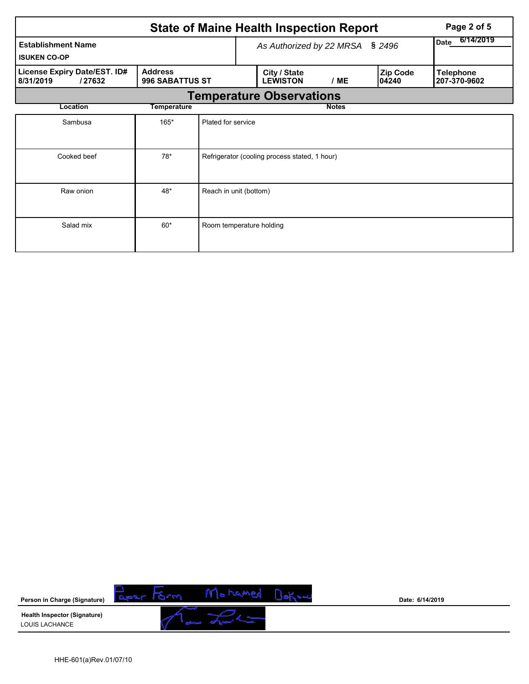|                                                     |                                   |                                                                     |                                 | <b>State of Maine Health Inspection Report</b> | Page 2 of 5                      |  |  |  |  |  |
|-----------------------------------------------------|-----------------------------------|---------------------------------------------------------------------|---------------------------------|------------------------------------------------|----------------------------------|--|--|--|--|--|
| <b>Establishment Name</b><br><b>ISUKEN CO-OP</b>    |                                   |                                                                     | As Authorized by 22 MRSA § 2496 | 6/14/2019<br><b>Date</b>                       |                                  |  |  |  |  |  |
| License Expiry Date/EST. ID#<br>8/31/2019<br>/27632 | <b>Address</b><br>996 SABATTUS ST | City / State<br><b>Zip Code</b><br><b>LEWISTON</b><br>/ME<br>104240 |                                 |                                                | <b>Telephone</b><br>207-370-9602 |  |  |  |  |  |
| <b>Temperature Observations</b>                     |                                   |                                                                     |                                 |                                                |                                  |  |  |  |  |  |
| Location                                            | Temperature                       |                                                                     |                                 |                                                | <b>Notes</b>                     |  |  |  |  |  |
| Sambusa                                             | $165*$                            | Plated for service                                                  |                                 |                                                |                                  |  |  |  |  |  |
| $78*$<br>Cooked beef                                |                                   |                                                                     |                                 | Refrigerator (cooling process stated, 1 hour)  |                                  |  |  |  |  |  |
| 48*<br>Reach in unit (bottom)<br>Raw onion          |                                   |                                                                     |                                 |                                                |                                  |  |  |  |  |  |
| Salad mix                                           | $60*$                             | Room temperature holding                                            |                                 |                                                |                                  |  |  |  |  |  |

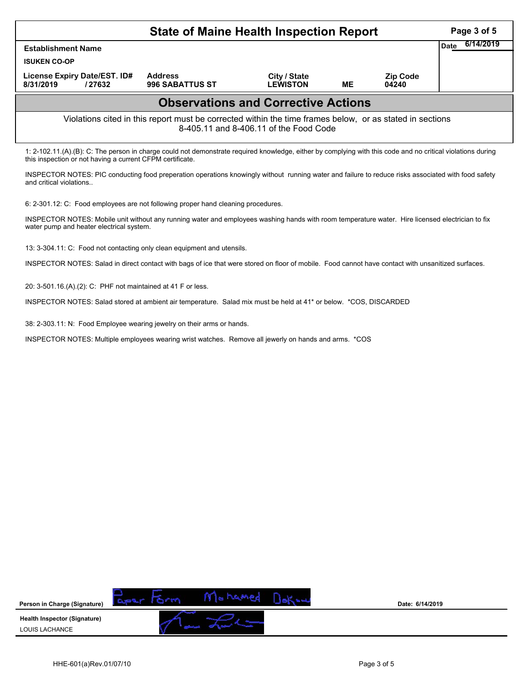|                                                                                                                                                                                                                          | Page 3 of 5                       |                                 |           |                          |  |  |  |  |  |  |
|--------------------------------------------------------------------------------------------------------------------------------------------------------------------------------------------------------------------------|-----------------------------------|---------------------------------|-----------|--------------------------|--|--|--|--|--|--|
| <b>Establishment Name</b>                                                                                                                                                                                                | 6/14/2019<br>Date                 |                                 |           |                          |  |  |  |  |  |  |
| <b>ISUKEN CO-OP</b>                                                                                                                                                                                                      |                                   |                                 |           |                          |  |  |  |  |  |  |
| License Expiry Date/EST. ID#<br>8/31/2019<br>/27632                                                                                                                                                                      | <b>Address</b><br>996 SABATTUS ST | City / State<br><b>LEWISTON</b> | <b>ME</b> | <b>Zip Code</b><br>04240 |  |  |  |  |  |  |
| <b>Observations and Corrective Actions</b>                                                                                                                                                                               |                                   |                                 |           |                          |  |  |  |  |  |  |
| Violations cited in this report must be corrected within the time frames below, or as stated in sections<br>8-405.11 and 8-406.11 of the Food Code                                                                       |                                   |                                 |           |                          |  |  |  |  |  |  |
| 1: 2-102.11.(A).(B): C: The person in charge could not demonstrate required knowledge, either by complying with this code and no critical violations during<br>this inspection or not having a current CFPM certificate. |                                   |                                 |           |                          |  |  |  |  |  |  |

INSPECTOR NOTES: PIC conducting food preperation operations knowingly without running water and failure to reduce risks associated with food safety and critical violations..

6: 2-301.12: C: Food employees are not following proper hand cleaning procedures.

INSPECTOR NOTES: Mobile unit without any running water and employees washing hands with room temperature water. Hire licensed electrician to fix water pump and heater electrical system.

13: 3-304.11: C: Food not contacting only clean equipment and utensils.

INSPECTOR NOTES: Salad in direct contact with bags of ice that were stored on floor of mobile. Food cannot have contact with unsanitized surfaces.

20: 3-501.16.(A).(2): C: PHF not maintained at 41 F or less.

INSPECTOR NOTES: Salad stored at ambient air temperature. Salad mix must be held at 41\* or below. \*COS, DISCARDED

38: 2-303.11: N: Food Employee wearing jewelry on their arms or hands.

INSPECTOR NOTES: Multiple employees wearing wrist watches. Remove all jewerly on hands and arms. \*COS

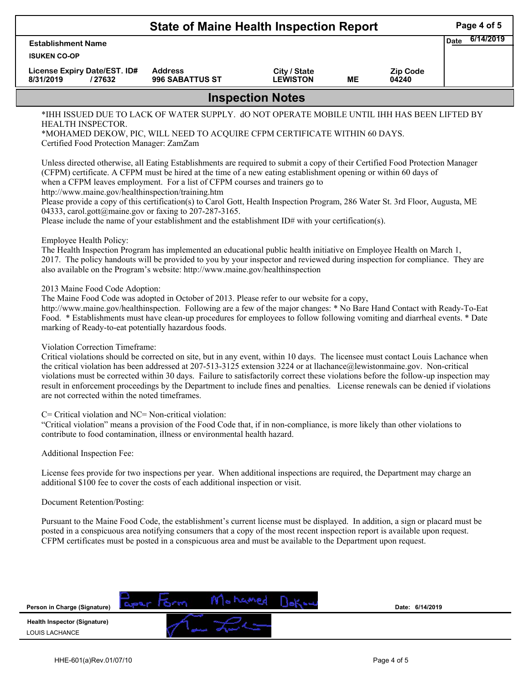| <b>State of Maine Health Inspection Report</b>                                                                                                                                                                                                                                                                                                                                 |                                                                                                                                                                                                                                                                                                                                                                                                                                                                                                                                                                                                                                                                                                                                                                                             |                                 |           |                          |             |           |  |  |  |
|--------------------------------------------------------------------------------------------------------------------------------------------------------------------------------------------------------------------------------------------------------------------------------------------------------------------------------------------------------------------------------|---------------------------------------------------------------------------------------------------------------------------------------------------------------------------------------------------------------------------------------------------------------------------------------------------------------------------------------------------------------------------------------------------------------------------------------------------------------------------------------------------------------------------------------------------------------------------------------------------------------------------------------------------------------------------------------------------------------------------------------------------------------------------------------------|---------------------------------|-----------|--------------------------|-------------|-----------|--|--|--|
| <b>Establishment Name</b><br><b>ISUKEN CO-OP</b>                                                                                                                                                                                                                                                                                                                               |                                                                                                                                                                                                                                                                                                                                                                                                                                                                                                                                                                                                                                                                                                                                                                                             |                                 |           |                          | <b>Date</b> | 6/14/2019 |  |  |  |
| License Expiry Date/EST. ID#<br>8/31/2019<br>/27632                                                                                                                                                                                                                                                                                                                            | <b>Address</b><br>996 SABATTUS ST                                                                                                                                                                                                                                                                                                                                                                                                                                                                                                                                                                                                                                                                                                                                                           | City / State<br><b>LEWISTON</b> | <b>ME</b> | <b>Zip Code</b><br>04240 |             |           |  |  |  |
|                                                                                                                                                                                                                                                                                                                                                                                |                                                                                                                                                                                                                                                                                                                                                                                                                                                                                                                                                                                                                                                                                                                                                                                             | <b>Inspection Notes</b>         |           |                          |             |           |  |  |  |
| *IHH ISSUED DUE TO LACK OF WATER SUPPLY. dO NOT OPERATE MOBILE UNTIL IHH HAS BEEN LIFTED BY<br>HEALTH INSPECTOR.<br>*MOHAMED DEKOW, PIC, WILL NEED TO ACQUIRE CFPM CERTIFICATE WITHIN 60 DAYS.<br>Certified Food Protection Manager: ZamZam                                                                                                                                    |                                                                                                                                                                                                                                                                                                                                                                                                                                                                                                                                                                                                                                                                                                                                                                                             |                                 |           |                          |             |           |  |  |  |
| Employee Health Policy:                                                                                                                                                                                                                                                                                                                                                        | Unless directed otherwise, all Eating Establishments are required to submit a copy of their Certified Food Protection Manager<br>(CFPM) certificate. A CFPM must be hired at the time of a new eating establishment opening or within 60 days of<br>when a CFPM leaves employment. For a list of CFPM courses and trainers go to<br>http://www.maine.gov/healthinspection/training.htm<br>Please provide a copy of this certification(s) to Carol Gott, Health Inspection Program, 286 Water St. 3rd Floor, Augusta, ME<br>04333, carol.gott@maine.gov or faxing to 207-287-3165.<br>Please include the name of your establishment and the establishment ID# with your certification(s).                                                                                                    |                                 |           |                          |             |           |  |  |  |
|                                                                                                                                                                                                                                                                                                                                                                                | The Health Inspection Program has implemented an educational public health initiative on Employee Health on March 1,<br>2017. The policy handouts will be provided to you by your inspector and reviewed during inspection for compliance. They are<br>also available on the Program's website: http://www.maine.gov/healthinspection<br>2013 Maine Food Code Adoption:<br>The Maine Food Code was adopted in October of 2013. Please refer to our website for a copy,<br>http://www.maine.gov/healthinspection. Following are a few of the major changes: * No Bare Hand Contact with Ready-To-Eat<br>Food. * Establishments must have clean-up procedures for employees to follow following vomiting and diarrheal events. * Date<br>marking of Ready-to-eat potentially hazardous foods. |                                 |           |                          |             |           |  |  |  |
|                                                                                                                                                                                                                                                                                                                                                                                | Violation Correction Timeframe:<br>Critical violations should be corrected on site, but in any event, within 10 days. The licensee must contact Louis Lachance when<br>the critical violation has been addressed at 207-513-3125 extension 3224 or at llachance@lewistonmaine.gov. Non-critical<br>violations must be corrected within 30 days. Failure to satisfactorily correct these violations before the follow-up inspection may<br>result in enforcement proceedings by the Department to include fines and penalties. License renewals can be denied if violations<br>are not corrected within the noted timeframes.                                                                                                                                                                |                                 |           |                          |             |           |  |  |  |
|                                                                                                                                                                                                                                                                                                                                                                                | C= Critical violation and NC= Non-critical violation:<br>"Critical violation" means a provision of the Food Code that, if in non-compliance, is more likely than other violations to<br>contribute to food contamination, illness or environmental health hazard.                                                                                                                                                                                                                                                                                                                                                                                                                                                                                                                           |                                 |           |                          |             |           |  |  |  |
| Additional Inspection Fee:                                                                                                                                                                                                                                                                                                                                                     |                                                                                                                                                                                                                                                                                                                                                                                                                                                                                                                                                                                                                                                                                                                                                                                             |                                 |           |                          |             |           |  |  |  |
|                                                                                                                                                                                                                                                                                                                                                                                | License fees provide for two inspections per year. When additional inspections are required, the Department may charge an<br>additional \$100 fee to cover the costs of each additional inspection or visit.                                                                                                                                                                                                                                                                                                                                                                                                                                                                                                                                                                                |                                 |           |                          |             |           |  |  |  |
| Document Retention/Posting:                                                                                                                                                                                                                                                                                                                                                    |                                                                                                                                                                                                                                                                                                                                                                                                                                                                                                                                                                                                                                                                                                                                                                                             |                                 |           |                          |             |           |  |  |  |
| Pursuant to the Maine Food Code, the establishment's current license must be displayed. In addition, a sign or placard must be<br>posted in a conspicuous area notifying consumers that a copy of the most recent inspection report is available upon request.<br>CFPM certificates must be posted in a conspicuous area and must be available to the Department upon request. |                                                                                                                                                                                                                                                                                                                                                                                                                                                                                                                                                                                                                                                                                                                                                                                             |                                 |           |                          |             |           |  |  |  |
| Person in Charge (Signature)<br><b>Health Inspector (Signature)</b>                                                                                                                                                                                                                                                                                                            | aper torm                                                                                                                                                                                                                                                                                                                                                                                                                                                                                                                                                                                                                                                                                                                                                                                   |                                 |           | Date: 6/14/2019          |             |           |  |  |  |

7

LOUIS LACHANCE